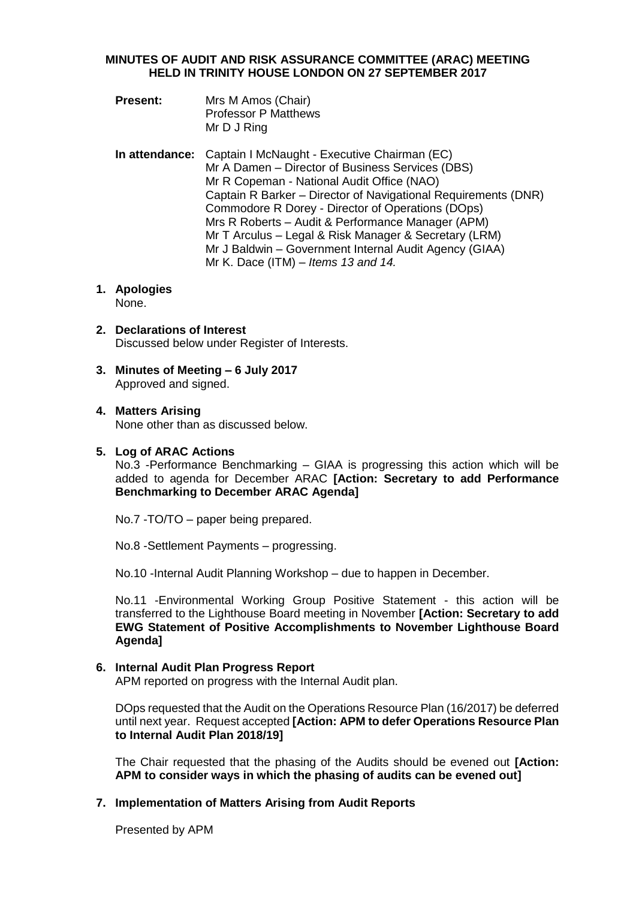#### **MINUTES OF AUDIT AND RISK ASSURANCE COMMITTEE (ARAC) MEETING HELD IN TRINITY HOUSE LONDON ON 27 SEPTEMBER 2017**

- **Present:** Mrs M Amos (Chair) Professor P Matthews Mr D J Ring
- **In attendance:** Captain I McNaught Executive Chairman (EC) Mr A Damen – Director of Business Services (DBS) Mr R Copeman - National Audit Office (NAO) Captain R Barker – Director of Navigational Requirements (DNR) Commodore R Dorey - Director of Operations (DOps) Mrs R Roberts – Audit & Performance Manager (APM) Mr T Arculus – Legal & Risk Manager & Secretary (LRM) Mr J Baldwin – Government Internal Audit Agency (GIAA) Mr K. Dace (ITM) – *Items 13 and 14.*

# **1. Apologies**

None.

- **2. Declarations of Interest** Discussed below under Register of Interests.
- **3. Minutes of Meeting – 6 July 2017** Approved and signed.

# **4. Matters Arising**

None other than as discussed below.

# **5. Log of ARAC Actions**

No.3 -Performance Benchmarking – GIAA is progressing this action which will be added to agenda for December ARAC **[Action: Secretary to add Performance Benchmarking to December ARAC Agenda]**

No.7 -TO/TO – paper being prepared.

No.8 -Settlement Payments – progressing.

No.10 -Internal Audit Planning Workshop – due to happen in December.

No.11 -Environmental Working Group Positive Statement - this action will be transferred to the Lighthouse Board meeting in November **[Action: Secretary to add EWG Statement of Positive Accomplishments to November Lighthouse Board Agenda]**

# **6. Internal Audit Plan Progress Report**

APM reported on progress with the Internal Audit plan.

DOps requested that the Audit on the Operations Resource Plan (16/2017) be deferred until next year. Request accepted **[Action: APM to defer Operations Resource Plan to Internal Audit Plan 2018/19]**

The Chair requested that the phasing of the Audits should be evened out **[Action: APM to consider ways in which the phasing of audits can be evened out]**

# **7. Implementation of Matters Arising from Audit Reports**

Presented by APM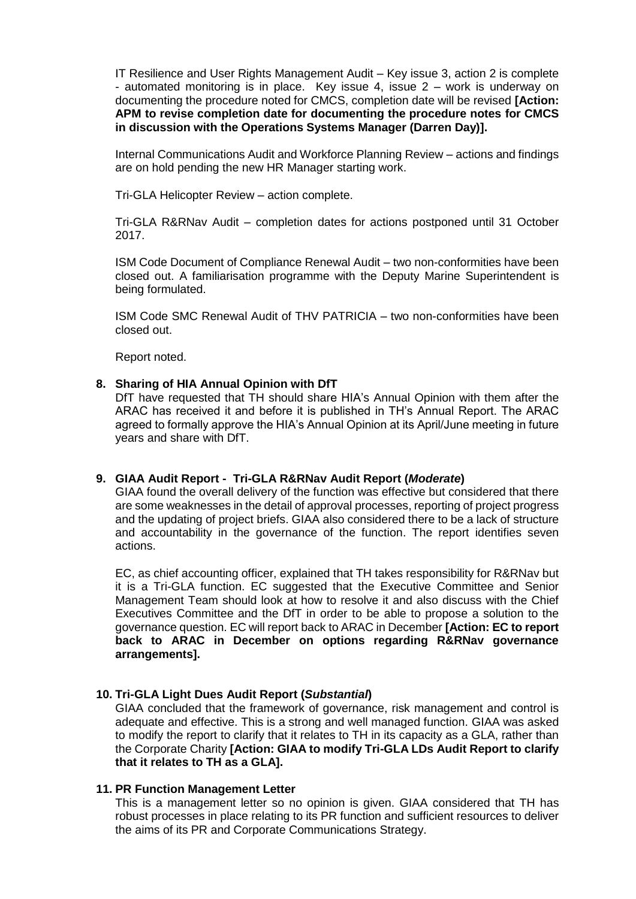IT Resilience and User Rights Management Audit – Key issue 3, action 2 is complete - automated monitoring is in place. Key issue 4, issue 2 – work is underway on documenting the procedure noted for CMCS, completion date will be revised **[Action: APM to revise completion date for documenting the procedure notes for CMCS in discussion with the Operations Systems Manager (Darren Day)].**

Internal Communications Audit and Workforce Planning Review – actions and findings are on hold pending the new HR Manager starting work.

Tri-GLA Helicopter Review – action complete.

Tri-GLA R&RNav Audit – completion dates for actions postponed until 31 October 2017.

ISM Code Document of Compliance Renewal Audit – two non-conformities have been closed out. A familiarisation programme with the Deputy Marine Superintendent is being formulated.

ISM Code SMC Renewal Audit of THV PATRICIA – two non-conformities have been closed out.

Report noted.

# **8. Sharing of HIA Annual Opinion with DfT**

DfT have requested that TH should share HIA's Annual Opinion with them after the ARAC has received it and before it is published in TH's Annual Report. The ARAC agreed to formally approve the HIA's Annual Opinion at its April/June meeting in future years and share with DfT.

# **9. GIAA Audit Report - Tri-GLA R&RNav Audit Report (***Moderate***)**

GIAA found the overall delivery of the function was effective but considered that there are some weaknesses in the detail of approval processes, reporting of project progress and the updating of project briefs. GIAA also considered there to be a lack of structure and accountability in the governance of the function. The report identifies seven actions.

EC, as chief accounting officer, explained that TH takes responsibility for R&RNav but it is a Tri-GLA function. EC suggested that the Executive Committee and Senior Management Team should look at how to resolve it and also discuss with the Chief Executives Committee and the DfT in order to be able to propose a solution to the governance question. EC will report back to ARAC in December **[Action: EC to report back to ARAC in December on options regarding R&RNav governance arrangements].**

# **10. Tri-GLA Light Dues Audit Report (***Substantial***)**

GIAA concluded that the framework of governance, risk management and control is adequate and effective. This is a strong and well managed function. GIAA was asked to modify the report to clarify that it relates to TH in its capacity as a GLA, rather than the Corporate Charity **[Action: GIAA to modify Tri-GLA LDs Audit Report to clarify that it relates to TH as a GLA].**

#### **11. PR Function Management Letter**

This is a management letter so no opinion is given. GIAA considered that TH has robust processes in place relating to its PR function and sufficient resources to deliver the aims of its PR and Corporate Communications Strategy.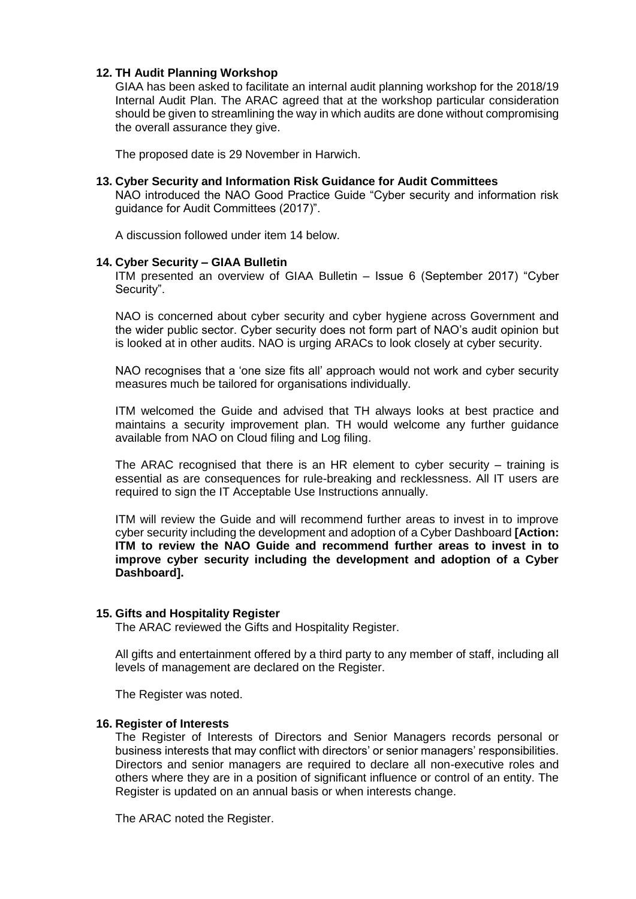#### **12. TH Audit Planning Workshop**

GIAA has been asked to facilitate an internal audit planning workshop for the 2018/19 Internal Audit Plan. The ARAC agreed that at the workshop particular consideration should be given to streamlining the way in which audits are done without compromising the overall assurance they give.

The proposed date is 29 November in Harwich.

#### **13. Cyber Security and Information Risk Guidance for Audit Committees**

NAO introduced the NAO Good Practice Guide "Cyber security and information risk guidance for Audit Committees (2017)".

A discussion followed under item 14 below.

#### **14. Cyber Security – GIAA Bulletin**

ITM presented an overview of GIAA Bulletin – Issue 6 (September 2017) "Cyber Security".

NAO is concerned about cyber security and cyber hygiene across Government and the wider public sector. Cyber security does not form part of NAO's audit opinion but is looked at in other audits. NAO is urging ARACs to look closely at cyber security.

NAO recognises that a 'one size fits all' approach would not work and cyber security measures much be tailored for organisations individually.

ITM welcomed the Guide and advised that TH always looks at best practice and maintains a security improvement plan. TH would welcome any further guidance available from NAO on Cloud filing and Log filing.

The ARAC recognised that there is an HR element to cyber security – training is essential as are consequences for rule-breaking and recklessness. All IT users are required to sign the IT Acceptable Use Instructions annually.

ITM will review the Guide and will recommend further areas to invest in to improve cyber security including the development and adoption of a Cyber Dashboard **[Action: ITM to review the NAO Guide and recommend further areas to invest in to improve cyber security including the development and adoption of a Cyber Dashboard].**

#### **15. Gifts and Hospitality Register**

The ARAC reviewed the Gifts and Hospitality Register.

All gifts and entertainment offered by a third party to any member of staff, including all levels of management are declared on the Register.

The Register was noted.

#### **16. Register of Interests**

The Register of Interests of Directors and Senior Managers records personal or business interests that may conflict with directors' or senior managers' responsibilities. Directors and senior managers are required to declare all non-executive roles and others where they are in a position of significant influence or control of an entity. The Register is updated on an annual basis or when interests change.

The ARAC noted the Register.